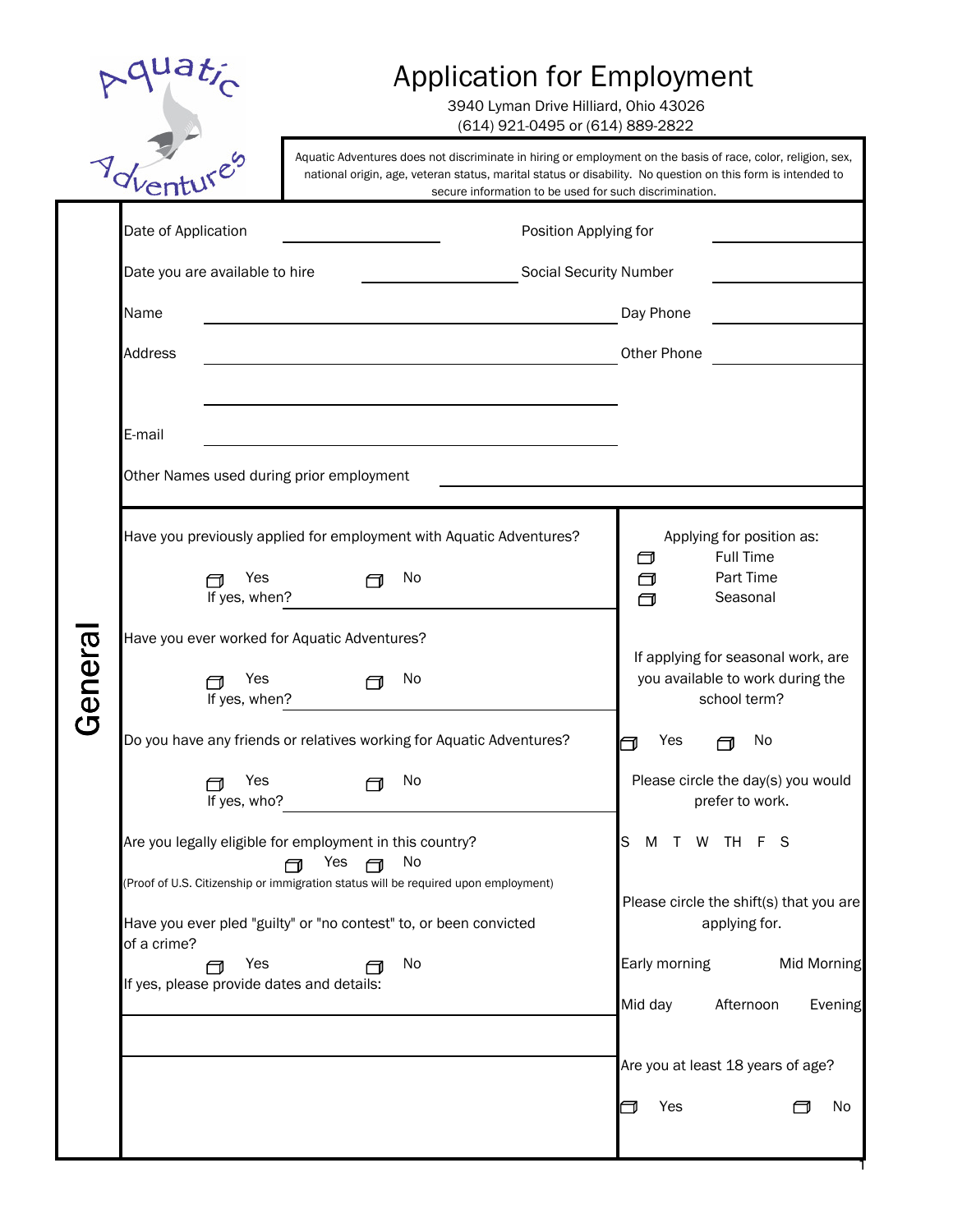|        |                                                                          | Application for Employment<br>3940 Lyman Drive Hilliard, Ohio 43026<br>(614) 921-0495 or (614) 889-2822                                                                                                                                                                               |                                                                                                                                                            |  |  |  |  |  |
|--------|--------------------------------------------------------------------------|---------------------------------------------------------------------------------------------------------------------------------------------------------------------------------------------------------------------------------------------------------------------------------------|------------------------------------------------------------------------------------------------------------------------------------------------------------|--|--|--|--|--|
|        | Voltanti 15es                                                            | Aquatic Adventures does not discriminate in hiring or employment on the basis of race, color, religion, sex,<br>national origin, age, veteran status, marital status or disability. No question on this form is intended to<br>secure information to be used for such discrimination. |                                                                                                                                                            |  |  |  |  |  |
|        | Date of Application<br>Date you are available to hire<br>Name<br>Address | Position Applying for<br><b>Social Security Number</b>                                                                                                                                                                                                                                | Day Phone<br>Other Phone                                                                                                                                   |  |  |  |  |  |
| Genera | E-mail<br>Other Names used during prior employment                       |                                                                                                                                                                                                                                                                                       |                                                                                                                                                            |  |  |  |  |  |
|        | Yes<br>If yes, when?                                                     | Have you previously applied for employment with Aquatic Adventures?<br>No                                                                                                                                                                                                             | Applying for position as:<br><b>Full Time</b><br>□<br>Part Time<br>$\Box$<br>$\Box$<br>Seasonal                                                            |  |  |  |  |  |
|        | Have you ever worked for Aquatic Adventures?<br>Yes<br>If yes, when?     | No                                                                                                                                                                                                                                                                                    | If applying for seasonal work, are<br>you available to work during the<br>school term?                                                                     |  |  |  |  |  |
|        | Yes<br>If yes, who?                                                      | Do you have any friends or relatives working for Aquatic Adventures?<br>No                                                                                                                                                                                                            | Yes<br>No<br>$\Box$<br>Please circle the day(s) you would<br>prefer to work.                                                                               |  |  |  |  |  |
|        | of a crime?<br>Yes<br>@<br>If yes, please provide dates and details:     | Are you legally eligible for employment in this country?<br>No<br>Yes<br>@<br>(Proof of U.S. Citizenship or immigration status will be required upon employment)<br>Have you ever pled "guilty" or "no contest" to, or been convicted<br>No                                           | T W TH F S<br>S<br>M<br>Please circle the shift(s) that you are<br>applying for.<br>Early morning<br><b>Mid Morning</b><br>Mid day<br>Afternoon<br>Evening |  |  |  |  |  |
|        |                                                                          |                                                                                                                                                                                                                                                                                       | Are you at least 18 years of age?<br>Yes<br>No<br>⊣                                                                                                        |  |  |  |  |  |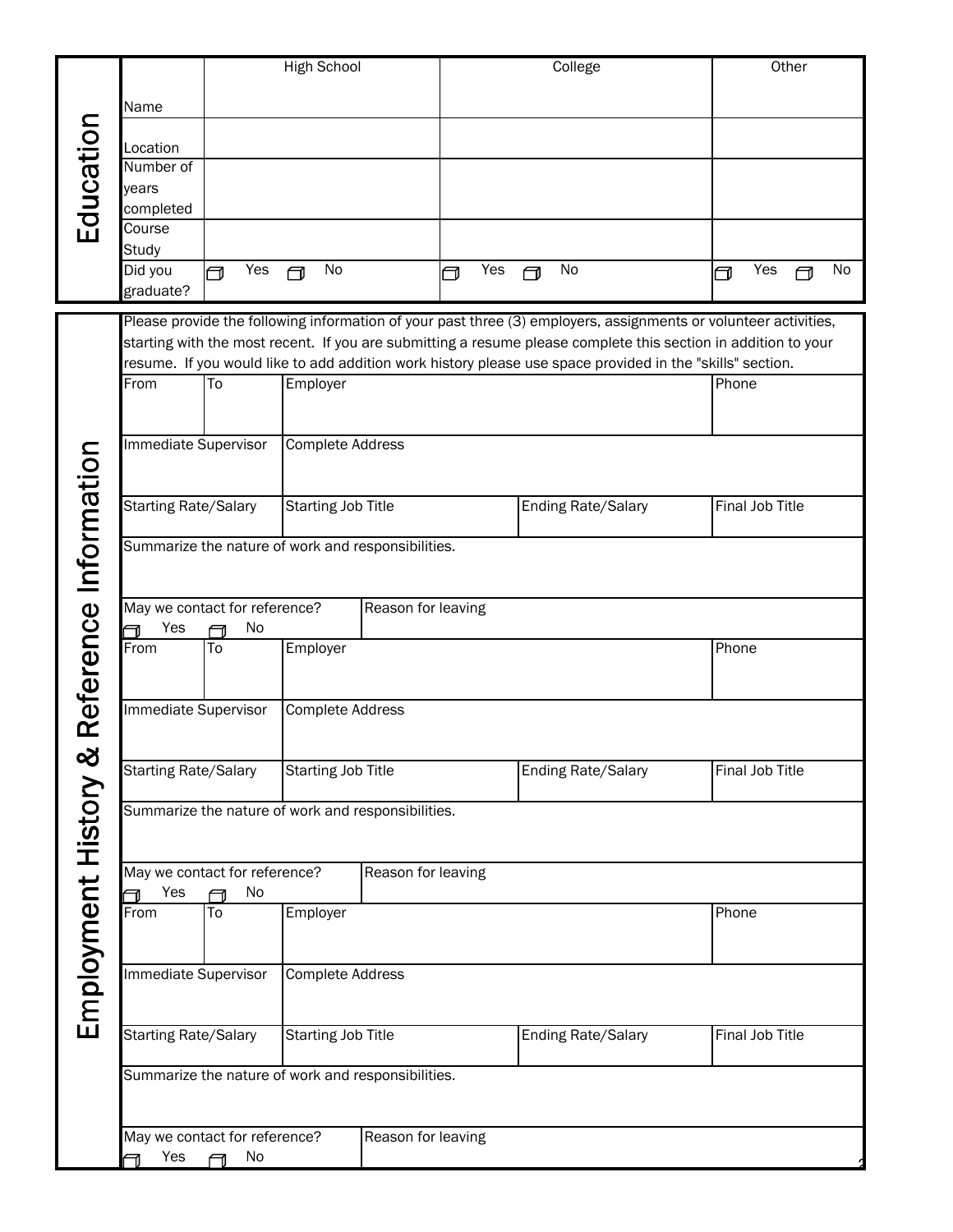|                                                                                                                |                                                                                                                 |                                                                                       | <b>High School</b>        |                    |          |   | College                                                                                                   | Other           |    |
|----------------------------------------------------------------------------------------------------------------|-----------------------------------------------------------------------------------------------------------------|---------------------------------------------------------------------------------------|---------------------------|--------------------|----------|---|-----------------------------------------------------------------------------------------------------------|-----------------|----|
|                                                                                                                |                                                                                                                 |                                                                                       |                           |                    |          |   |                                                                                                           |                 |    |
|                                                                                                                | Name                                                                                                            |                                                                                       |                           |                    |          |   |                                                                                                           |                 |    |
| Education                                                                                                      | Location                                                                                                        |                                                                                       |                           |                    |          |   |                                                                                                           |                 |    |
|                                                                                                                | Number of                                                                                                       |                                                                                       |                           |                    |          |   |                                                                                                           |                 |    |
|                                                                                                                | years                                                                                                           |                                                                                       |                           |                    |          |   |                                                                                                           |                 |    |
|                                                                                                                | completed                                                                                                       |                                                                                       |                           |                    |          |   |                                                                                                           |                 |    |
|                                                                                                                | Course                                                                                                          |                                                                                       |                           |                    |          |   |                                                                                                           |                 |    |
|                                                                                                                | Study                                                                                                           |                                                                                       |                           |                    |          |   |                                                                                                           |                 |    |
|                                                                                                                | Did you                                                                                                         | Yes<br>冖                                                                              | No<br>冖                   |                    | Yes<br>┓ | न | No                                                                                                        | Yes<br>@<br>冖   | No |
|                                                                                                                | graduate?                                                                                                       |                                                                                       |                           |                    |          |   |                                                                                                           |                 |    |
|                                                                                                                | Please provide the following information of your past three (3) employers, assignments or volunteer activities, |                                                                                       |                           |                    |          |   |                                                                                                           |                 |    |
| starting with the most recent. If you are submitting a resume please complete this section in addition to your |                                                                                                                 |                                                                                       |                           |                    |          |   |                                                                                                           |                 |    |
|                                                                                                                |                                                                                                                 |                                                                                       |                           |                    |          |   | resume. If you would like to add addition work history please use space provided in the "skills" section. |                 |    |
|                                                                                                                | From                                                                                                            | To                                                                                    | Employer                  |                    |          |   |                                                                                                           | Phone           |    |
|                                                                                                                |                                                                                                                 |                                                                                       |                           |                    |          |   |                                                                                                           |                 |    |
|                                                                                                                | Immediate Supervisor                                                                                            |                                                                                       | Complete Address          |                    |          |   |                                                                                                           |                 |    |
|                                                                                                                |                                                                                                                 |                                                                                       |                           |                    |          |   |                                                                                                           |                 |    |
|                                                                                                                |                                                                                                                 |                                                                                       |                           |                    |          |   |                                                                                                           |                 |    |
|                                                                                                                | <b>Starting Rate/Salary</b>                                                                                     |                                                                                       | <b>Starting Job Title</b> |                    |          |   | <b>Ending Rate/Salary</b>                                                                                 | Final Job Title |    |
|                                                                                                                |                                                                                                                 |                                                                                       |                           |                    |          |   |                                                                                                           |                 |    |
|                                                                                                                | Reference Information<br>Summarize the nature of work and responsibilities.                                     |                                                                                       |                           |                    |          |   |                                                                                                           |                 |    |
|                                                                                                                |                                                                                                                 |                                                                                       |                           |                    |          |   |                                                                                                           |                 |    |
|                                                                                                                | May we contact for reference?                                                                                   |                                                                                       |                           | Reason for leaving |          |   |                                                                                                           |                 |    |
|                                                                                                                | Yes<br>╗                                                                                                        | No<br>╗                                                                               |                           |                    |          |   |                                                                                                           |                 |    |
|                                                                                                                | From                                                                                                            | To                                                                                    | Employer                  |                    |          |   |                                                                                                           | Phone           |    |
|                                                                                                                |                                                                                                                 |                                                                                       |                           |                    |          |   |                                                                                                           |                 |    |
|                                                                                                                |                                                                                                                 |                                                                                       |                           |                    |          |   |                                                                                                           |                 |    |
|                                                                                                                | Immediate Supervisor                                                                                            |                                                                                       | Complete Address          |                    |          |   |                                                                                                           |                 |    |
|                                                                                                                |                                                                                                                 |                                                                                       |                           |                    |          |   |                                                                                                           |                 |    |
|                                                                                                                | <b>Starting Rate/Salary</b>                                                                                     |                                                                                       | <b>Starting Job Title</b> |                    |          |   | <b>Ending Rate/Salary</b>                                                                                 | Final Job Title |    |
|                                                                                                                |                                                                                                                 |                                                                                       |                           |                    |          |   |                                                                                                           |                 |    |
|                                                                                                                | Summarize the nature of work and responsibilities.                                                              |                                                                                       |                           |                    |          |   |                                                                                                           |                 |    |
|                                                                                                                |                                                                                                                 |                                                                                       |                           |                    |          |   |                                                                                                           |                 |    |
|                                                                                                                | May we contact for reference?                                                                                   |                                                                                       |                           |                    |          |   |                                                                                                           |                 |    |
|                                                                                                                | Yes                                                                                                             | No                                                                                    |                           | Reason for leaving |          |   |                                                                                                           |                 |    |
|                                                                                                                | From                                                                                                            | To                                                                                    | Employer                  |                    |          |   |                                                                                                           | Phone           |    |
|                                                                                                                |                                                                                                                 |                                                                                       |                           |                    |          |   |                                                                                                           |                 |    |
|                                                                                                                |                                                                                                                 |                                                                                       |                           |                    |          |   |                                                                                                           |                 |    |
|                                                                                                                | <b>Immediate Supervisor</b><br>Complete Address                                                                 |                                                                                       |                           |                    |          |   |                                                                                                           |                 |    |
| Employment History &                                                                                           |                                                                                                                 |                                                                                       |                           |                    |          |   |                                                                                                           |                 |    |
|                                                                                                                |                                                                                                                 |                                                                                       |                           |                    |          |   |                                                                                                           | Final Job Title |    |
|                                                                                                                |                                                                                                                 | <b>Starting Rate/Salary</b><br><b>Starting Job Title</b><br><b>Ending Rate/Salary</b> |                           |                    |          |   |                                                                                                           |                 |    |
|                                                                                                                | Summarize the nature of work and responsibilities.<br>May we contact for reference?<br>Reason for leaving       |                                                                                       |                           |                    |          |   |                                                                                                           |                 |    |
|                                                                                                                |                                                                                                                 |                                                                                       |                           |                    |          |   |                                                                                                           |                 |    |
|                                                                                                                |                                                                                                                 |                                                                                       |                           |                    |          |   |                                                                                                           |                 |    |
|                                                                                                                |                                                                                                                 |                                                                                       |                           |                    |          |   |                                                                                                           |                 |    |
|                                                                                                                | Yes<br>No<br>⊖                                                                                                  |                                                                                       |                           |                    |          |   |                                                                                                           |                 |    |